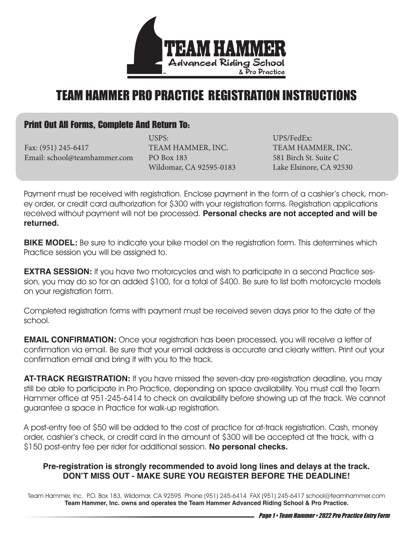

## TEAM HAMMER PRO PRACTICE REGISTRATION INSTRUCTIONS

### Print Out All Forms, Complete And Return To:

Fax: (951) 245-6417 Email: school@teamhammer.com

USPS: TEAM HAMMER, INC. PO Box 183 Wildomar, CA 92595-0183

UPS/FedEx: TEAM HAMMER, INC. 581 Birch St. Suite C Lake Elsinore, CA 92530

Payment must be received with registration. Enclose payment in the form of a cashier's check, money order, or credit card authorization for \$300 with your registration forms. Registration applications received without payment will not be processed. **Personal checks are not accepted and will be returned.** 

**BIKE MODEL:** Be sure to indicate your bike model on the registration form. This determines which Practice session you will be assigned to.

**EXTRA SESSION:** If you have two motorcycles and wish to participate in a second Practice session, you may do so for an added \$100, for a total of \$400. Be sure to list both motorcycle models on your registration form.

Completed registration forms with payment must be received seven days prior to the date of the school.

**EMAIL CONFIRMATION:** Once your registration has been processed, you will receive a letter of confirmation via email. Be sure that your email address is accurate and clearly written. Print out your confirmation email and bring it with you to the track.

**AT-TRACK REGISTRATION:** If you have missed the seven-day pre-registration deadline, you may still be able to participate in Pro Practice, depending on space availability. You must call the Team Hammer office at 951-245-6414 to check on availability before showing up at the track. We cannot guarantee a space in Practice for walk-up registration.

A post-entry fee of \$50 will be added to the cost of practice for at-track registration. Cash, money order, cashier's check, or credit card in the amount of \$300 will be accepted at the track, with a \$150 post-entry fee per rider for additional session. **No personal checks.** 

#### **Pre-registration is strongly recommended to avoid long lines and delays at the track. DON'T MISS OUT - MAKE SURE YOU REGISTER BEFORE THE DEADLINE!**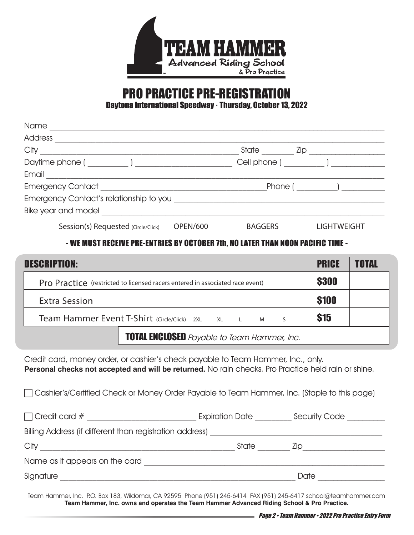

# PRO PRACTICE PRE-REGISTRATION

Daytona International Speedway · Thursday, October 13, 2022

| Name                                    |                 |                      |                     |
|-----------------------------------------|-----------------|----------------------|---------------------|
| <b>Address</b>                          |                 |                      |                     |
| City                                    |                 | State                | $\mathsf{Zip}_{\_}$ |
| Daytime phone ( __________ ) ________   |                 | Cell phone (Deliver) |                     |
| Email                                   |                 |                      |                     |
| <b>Emergency Contact Emergency</b>      |                 | Phone (              |                     |
| Emergency Contact's relationship to you |                 |                      |                     |
| Bike year and model                     |                 |                      |                     |
| Session(s) Requested (Circle/Click)     | <b>OPEN/600</b> | <b>BAGGERS</b>       | <b>LIGHTWEIGHT</b>  |

#### - WE MUST RECEIVE PRE-ENTRIES BY OCTOBER 7th, NO LATER THAN NOON PACIFIC TIME -

| <b>DESCRIPTION:</b>                                                           | <b>PRICE</b> | <b>TOTAL</b> |  |  |
|-------------------------------------------------------------------------------|--------------|--------------|--|--|
| Pro Practice (restricted to licensed racers entered in associated race event) | <b>\$300</b> |              |  |  |
| <b>Extra Session</b>                                                          | <b>\$100</b> |              |  |  |
| Team Hammer Event T-Shirt (Circle/Click) 2XL XL L M                           | \$15         |              |  |  |
| <b>TOTAL ENCLOSED</b> Payable to Team Hammer, Inc.                            |              |              |  |  |

Credit card, money order, or cashier's check payable to Team Hammer, Inc., only. **Personal checks not accepted and will be returned.** No rain checks. Pro Practice held rain or shine.

Cashier's/Certified Check or Money Order Payable to Team Hammer, Inc. (Staple to this page)

| $\Box$ Credit card #                                     | <b>Expiration Date</b> | Security Code |  |  |  |  |
|----------------------------------------------------------|------------------------|---------------|--|--|--|--|
| Billing Address (if different than registration address) |                        |               |  |  |  |  |
| City                                                     | <b>State</b>           | LID.          |  |  |  |  |
| Name as it appears on the card                           |                        |               |  |  |  |  |
| Signature                                                |                        | Date          |  |  |  |  |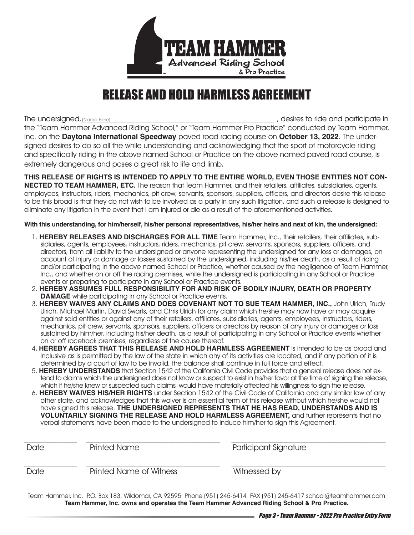

### RELEASE AND HOLD HARMLESS AGREEMENT

The undersigned, (Name Here)

, desires to ride and participate in the "Team Hammer Advanced Riding School," or "Team Hammer Pro Practice" conducted by Team Hammer, Inc. on the **Daytona International Speedway** paved road racing course on **October 13, 2022**. The undersigned desires to do so all the while understanding and acknowledging that the sport of motorcycle riding and specifically riding in the above named School or Practice on the above named paved road course, is extremely dangerous and poses a great risk to life and limb.

**THIS RELEASE OF RIGHTS IS INTENDED TO APPLY TO THE ENTIRE WORLD, EVEN THOSE ENTITIES NOT CON-NECTED TO TEAM HAMMER, ETC.** The reason that Team Hammer, and their retailers, affiliates, subsidiaries, agents, employees, instructors, riders, mechanics, pit crew, servants, sponsors, suppliers, officers, and directors desire this release to be this broad is that they do not wish to be involved as a party in any such litigation, and such a release is designed to eliminate any litigation in the event that I am injured or die as a result of the aforementioned activities.

#### **With this understanding, for him/herself, his/her personal representatives, his/her heirs and next of kin, the undersigned:**

- 1. **HEREBY RELEASES AND DISCHARGES FOR ALL TIME** Team Hammer, Inc., their retailers, their affiliates, subsidiaries, agents, employees, instructors, riders, mechanics, pit crew, servants, sponsors, suppliers, officers, and directors, from all liability to the undersigned or anyone representing the undersigned for any loss or damages, on account of injury or damage or losses sustained by the undersigned, including his/her death, as a result of riding and/or participating in the above named School or Practice, whether caused by the negligence of Team Hammer, Inc., and whether on or off the racing premises, while the undersigned is participating in any School or Practice events or preparing to participate in any School or Practice events.
- 2. **HEREBY ASSUMES FULL RESPONSIBILITY FOR AND RISK OF BODILY INJURY, DEATH OR PROPERTY DAMAGE** while participating in any School or Practice events.
- 3. **HEREBY WAIVES ANY CLAIMS AND DOES COVENANT NOT TO SUE TEAM HAMMER, INC.,** John Ulrich, Trudy Ulrich, Michael Martin, David Swarts, and Chris Ulrich for any claim which he/she may now have or may acquire against said entities or against any of their retailers, affiliates, subsidiaries, agents, employees, instructors, riders, mechanics, pit crew, servants, sponsors, suppliers, officers or directors by reason of any injury or damages or loss sustained by him/her, including his/her death, as a result of participating in any School or Practice events whether on or off racetrack premises, regardless of the cause thereof.
- 4. **HEREBY AGREES THAT THIS RELEASE AND HOLD HARMLESS AGREEMENT** is intended to be as broad and inclusive as is permitted by the law of the state in which any of its activities are located, and if any portion of it is determined by a court of law to be invalid, the balance shall continue in full force and effect.
- 5. **HEREBY UNDERSTANDS** that Section 1542 of the California Civil Code provides that a general release does not extend to claims which the undersigned does not know or suspect to exist in his/her favor at the time of signing the release, which if he/she knew or suspected such claims, would have materially affected his willingness to sign the release.
- 6. **HEREBY WAIVES HIS/HER RIGHTS** under Section 1542 of the Civil Code of California and any similar law of any other state, and acknowledges that this waiver is an essential term of this release without which he/she would not have signed this release. **THE UNDERSIGNED REPRESENTS THAT HE HAS READ, UNDERSTANDS AND IS VOLUNTARILY SIGNING THE RELEASE AND HOLD HARMLESS AGREEMENT,** and further represents that no verbal statements have been made to the undersigned to induce him/her to sign this Agreement.

| Printed Name | Participant Signature   |
|--------------|-------------------------|
|              | Witnessed by            |
|              | Printed Name of Witness |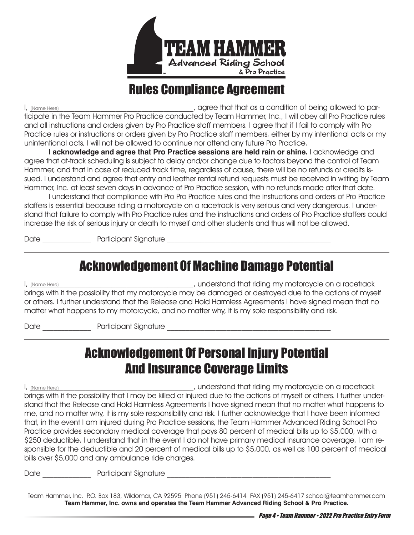

### Rules Compliance Agreement

, agree that that as a condition of being allowed to participate in the Team Hammer Pro Practice conducted by Team Hammer, Inc., I will obey all Pro Practice rules and all instructions and orders given by Pro Practice staff members. I agree that if I fail to comply with Pro Practice rules or instructions or orders given by Pro Practice staff members, either by my intentional acts or my unintentional acts, I will not be allowed to continue nor attend any future Pro Practice. (Name Here)

**I acknowledge and agree that Pro Practice sessions are held rain or shine.** I acknowledge and agree that at-track scheduling is subject to delay and/or change due to factors beyond the control of Team Hammer, and that in case of reduced track time, regardless of cause, there will be no refunds or credits issued. I understand and agree that entry and leather rental refund requests must be received in writing by Team Hammer, Inc. at least seven days in advance of Pro Practice session, with no refunds made after that date.

 I understand that compliance with Pro Pro Practice rules and the instructions and orders of Pro Practice staffers is essential because riding a motorcycle on a racetrack is very serious and very dangerous. I understand that failure to comply with Pro Practice rules and the instructions and orders of Pro Practice staffers could increase the risk of serious injury or death to myself and other students and thus will not be allowed.

Date **Date Participant Signature** 

### Acknowledgement Of Machine Damage Potential

I, \_\_\_\_\_\_\_\_\_\_\_\_\_\_\_\_\_\_\_\_\_\_\_\_\_\_\_\_\_\_\_\_\_\_\_\_\_\_\_\_\_\_\_\_, understand that riding my motorcycle on a racetrack brings with it the possibility that my motorcycle may be damaged or destroyed due to the actions of myself or others. I further understand that the Release and Hold Harmless Agreements I have signed mean that no matter what happens to my motorcycle, and no matter why, it is my sole responsibility and risk. (Name Here)

Date \_\_\_\_\_\_\_\_\_\_\_\_\_ Participant Signature \_\_\_\_\_\_\_\_\_\_\_\_\_\_\_\_\_\_\_\_\_\_\_\_\_\_\_\_\_\_\_\_\_\_\_\_\_\_\_\_\_\_\_\_

### Acknowledgement Of Personal Injury Potential And Insurance Coverage Limits

, understand that riding my motorcycle on a racetrack brings with it the possibility that I may be killed or injured due to the actions of myself or others. I further understand that the Release and Hold Harmless Agreements I have signed mean that no matter what happens to me, and no matter why, it is my sole responsibility and risk. I further acknowledge that I have been informed that, in the event I am injured during Pro Practice sessions, the Team Hammer Advanced Riding School Pro Practice provides secondary medical coverage that pays 80 percent of medical bills up to \$5,000, with a \$250 deductible. I understand that in the event I do not have primary medical insurance coverage, I am responsible for the deductible and 20 percent of medical bills up to \$5,000, as well as 100 percent of medical bills over \$5,000 and any ambulance ride charges. (Name Here)

Date and the contract participant Signature  $\Box$